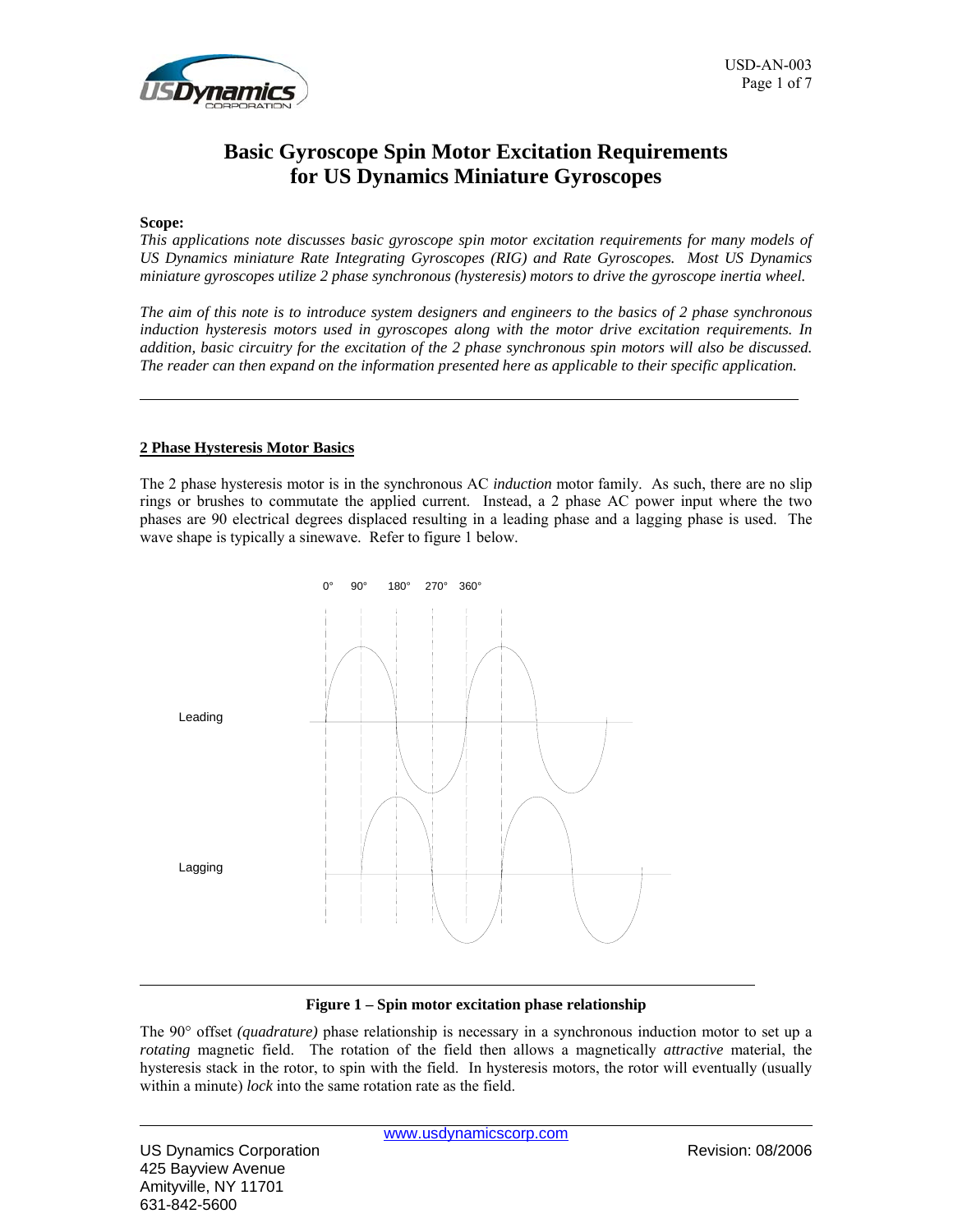

# **Basic Gyroscope Spin Motor Excitation Requirements for US Dynamics Miniature Gyroscopes**

#### **Scope:**

*This applications note discusses basic gyroscope spin motor excitation requirements for many models of US Dynamics miniature Rate Integrating Gyroscopes (RIG) and Rate Gyroscopes. Most US Dynamics miniature gyroscopes utilize 2 phase synchronous (hysteresis) motors to drive the gyroscope inertia wheel.* 

*The aim of this note is to introduce system designers and engineers to the basics of 2 phase synchronous induction hysteresis motors used in gyroscopes along with the motor drive excitation requirements. In addition, basic circuitry for the excitation of the 2 phase synchronous spin motors will also be discussed. The reader can then expand on the information presented here as applicable to their specific application.*

#### **2 Phase Hysteresis Motor Basics**

The 2 phase hysteresis motor is in the synchronous AC *induction* motor family. As such, there are no slip rings or brushes to commutate the applied current. Instead, a 2 phase AC power input where the two phases are 90 electrical degrees displaced resulting in a leading phase and a lagging phase is used. The wave shape is typically a sinewave. Refer to figure 1 below.



#### **Figure 1 – Spin motor excitation phase relationship**

The 90° offset *(quadrature)* phase relationship is necessary in a synchronous induction motor to set up a *rotating* magnetic field. The rotation of the field then allows a magnetically *attractive* material, the hysteresis stack in the rotor, to spin with the field. In hysteresis motors, the rotor will eventually (usually within a minute) *lock* into the same rotation rate as the field.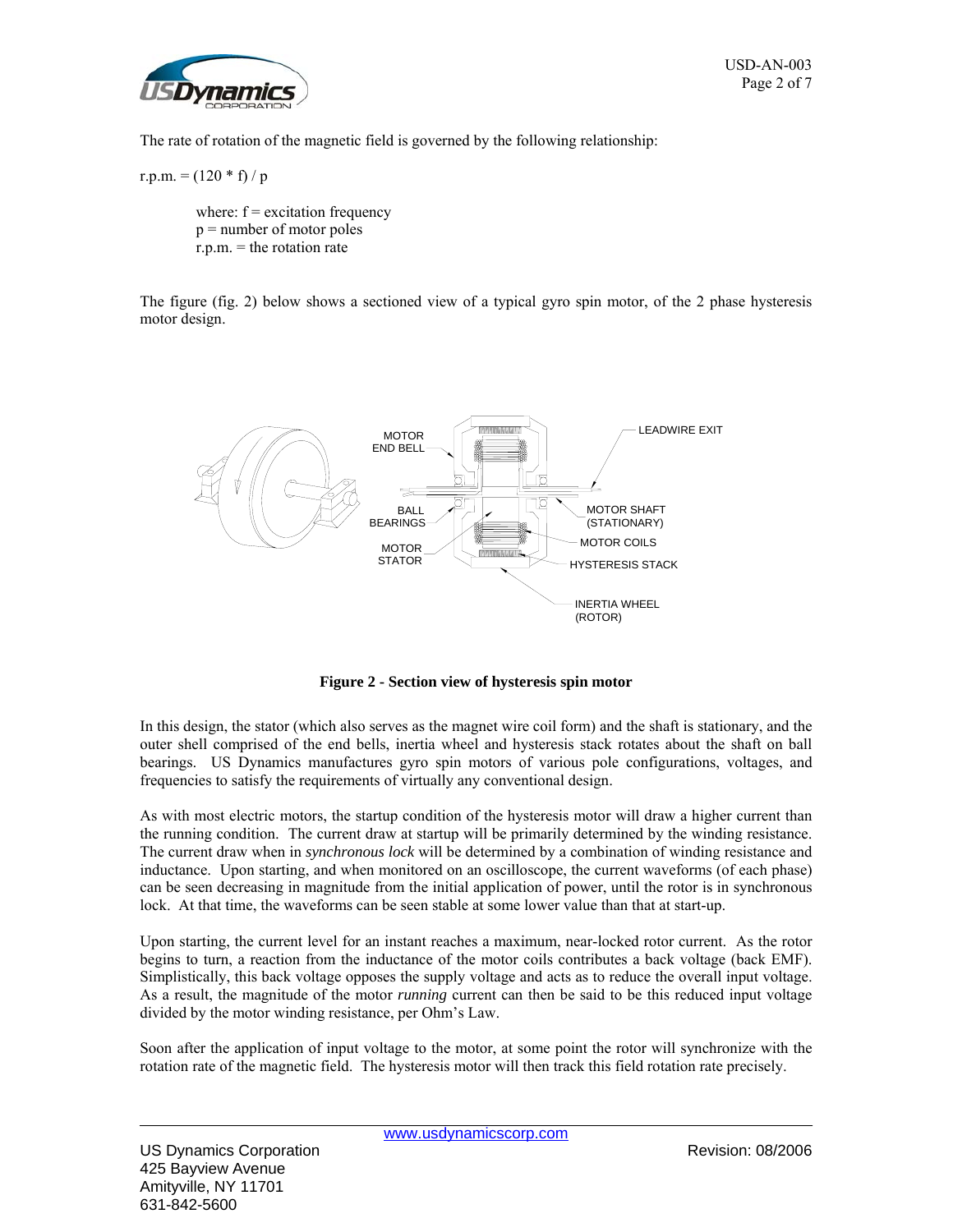

The rate of rotation of the magnetic field is governed by the following relationship:

r.p.m.  $= (120 * f)/p$ 

where:  $f =$  excitation frequency p = number of motor poles  $r.p.m.$  = the rotation rate

The figure (fig. 2) below shows a sectioned view of a typical gyro spin motor, of the 2 phase hysteresis motor design.



**Figure 2 - Section view of hysteresis spin motor** 

In this design, the stator (which also serves as the magnet wire coil form) and the shaft is stationary, and the outer shell comprised of the end bells, inertia wheel and hysteresis stack rotates about the shaft on ball bearings. US Dynamics manufactures gyro spin motors of various pole configurations, voltages, and frequencies to satisfy the requirements of virtually any conventional design.

As with most electric motors, the startup condition of the hysteresis motor will draw a higher current than the running condition. The current draw at startup will be primarily determined by the winding resistance. The current draw when in *synchronous lock* will be determined by a combination of winding resistance and inductance. Upon starting, and when monitored on an oscilloscope, the current waveforms (of each phase) can be seen decreasing in magnitude from the initial application of power, until the rotor is in synchronous lock. At that time, the waveforms can be seen stable at some lower value than that at start-up.

Upon starting, the current level for an instant reaches a maximum, near-locked rotor current. As the rotor begins to turn, a reaction from the inductance of the motor coils contributes a back voltage (back EMF). Simplistically, this back voltage opposes the supply voltage and acts as to reduce the overall input voltage. As a result, the magnitude of the motor *running* current can then be said to be this reduced input voltage divided by the motor winding resistance, per Ohm's Law.

Soon after the application of input voltage to the motor, at some point the rotor will synchronize with the rotation rate of the magnetic field. The hysteresis motor will then track this field rotation rate precisely.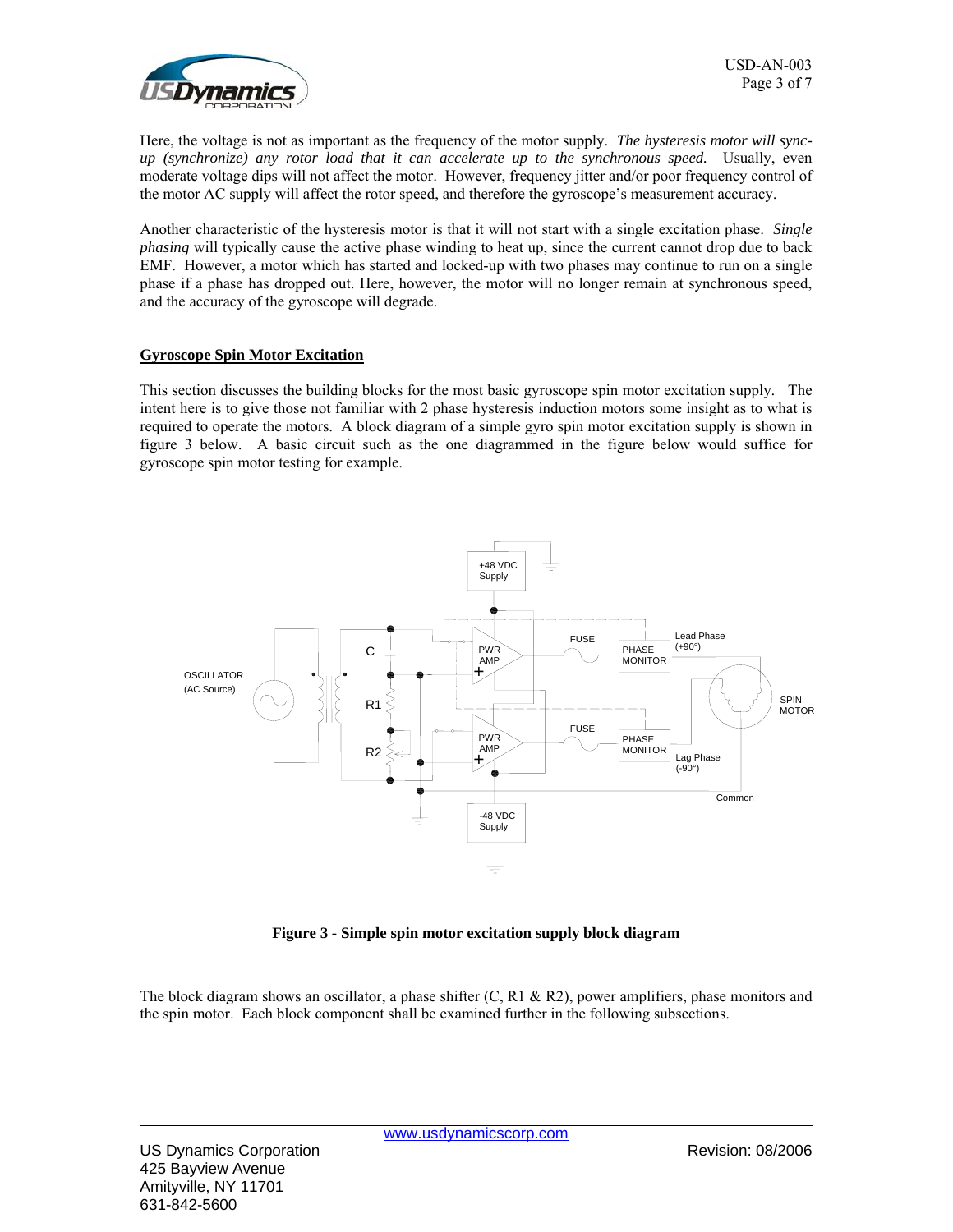

Here, the voltage is not as important as the frequency of the motor supply. *The hysteresis motor will syncup (synchronize) any rotor load that it can accelerate up to the synchronous speed.* Usually, even moderate voltage dips will not affect the motor. However, frequency jitter and/or poor frequency control of the motor AC supply will affect the rotor speed, and therefore the gyroscope's measurement accuracy.

Another characteristic of the hysteresis motor is that it will not start with a single excitation phase. *Single phasing* will typically cause the active phase winding to heat up, since the current cannot drop due to back EMF. However, a motor which has started and locked-up with two phases may continue to run on a single phase if a phase has dropped out. Here, however, the motor will no longer remain at synchronous speed, and the accuracy of the gyroscope will degrade.

## **Gyroscope Spin Motor Excitation**

This section discusses the building blocks for the most basic gyroscope spin motor excitation supply. The intent here is to give those not familiar with 2 phase hysteresis induction motors some insight as to what is required to operate the motors. A block diagram of a simple gyro spin motor excitation supply is shown in figure 3 below. A basic circuit such as the one diagrammed in the figure below would suffice for gyroscope spin motor testing for example.



**Figure 3 - Simple spin motor excitation supply block diagram** 

The block diagram shows an oscillator, a phase shifter  $(C, R1 \& R2)$ , power amplifiers, phase monitors and the spin motor. Each block component shall be examined further in the following subsections.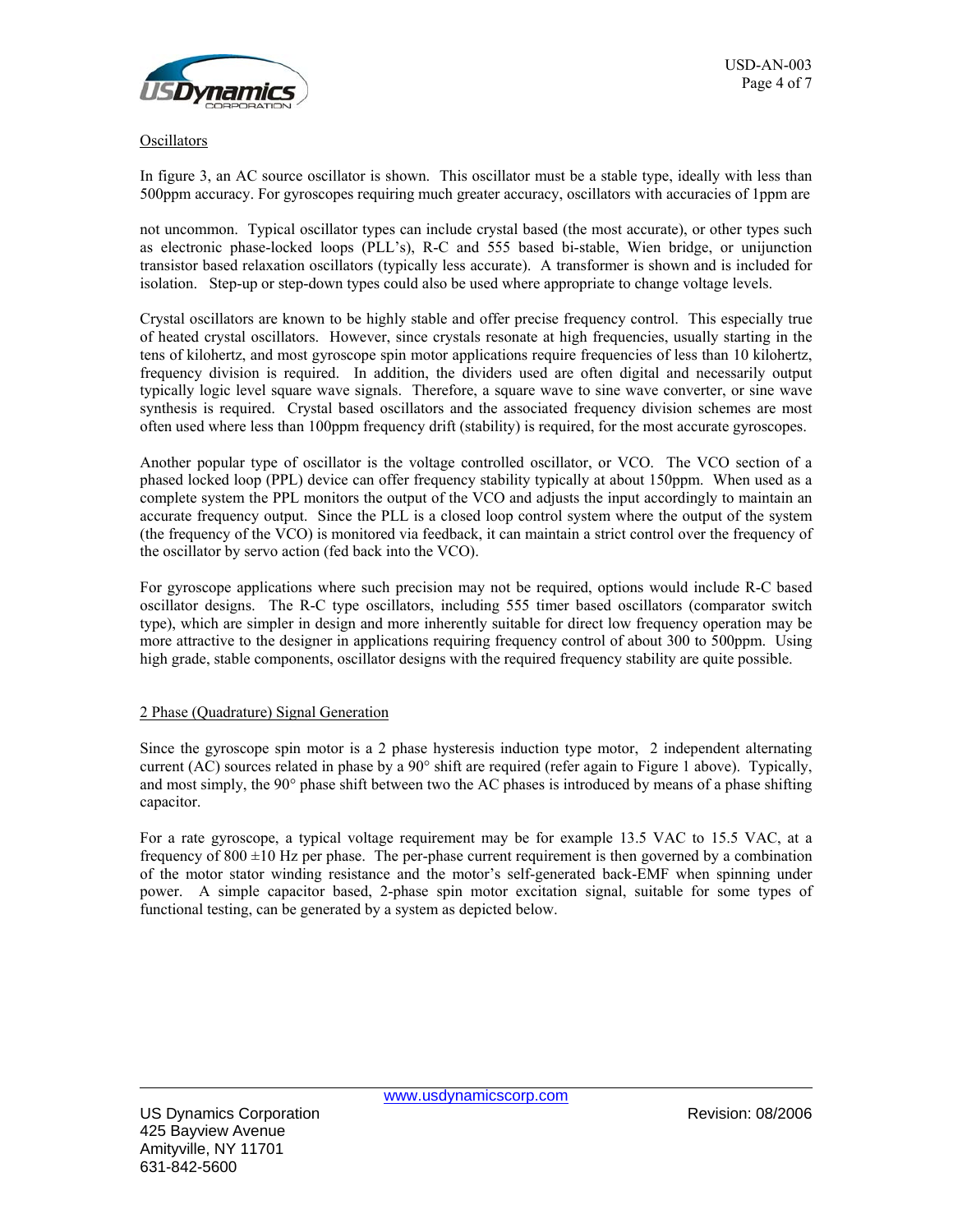

**Oscillators** 

In figure 3, an AC source oscillator is shown. This oscillator must be a stable type, ideally with less than 500ppm accuracy. For gyroscopes requiring much greater accuracy, oscillators with accuracies of 1ppm are

not uncommon. Typical oscillator types can include crystal based (the most accurate), or other types such as electronic phase-locked loops (PLL's), R-C and 555 based bi-stable, Wien bridge, or unijunction transistor based relaxation oscillators (typically less accurate). A transformer is shown and is included for isolation. Step-up or step-down types could also be used where appropriate to change voltage levels.

Crystal oscillators are known to be highly stable and offer precise frequency control. This especially true of heated crystal oscillators. However, since crystals resonate at high frequencies, usually starting in the tens of kilohertz, and most gyroscope spin motor applications require frequencies of less than 10 kilohertz, frequency division is required. In addition, the dividers used are often digital and necessarily output typically logic level square wave signals. Therefore, a square wave to sine wave converter, or sine wave synthesis is required. Crystal based oscillators and the associated frequency division schemes are most often used where less than 100ppm frequency drift (stability) is required, for the most accurate gyroscopes.

Another popular type of oscillator is the voltage controlled oscillator, or VCO. The VCO section of a phased locked loop (PPL) device can offer frequency stability typically at about 150ppm. When used as a complete system the PPL monitors the output of the VCO and adjusts the input accordingly to maintain an accurate frequency output. Since the PLL is a closed loop control system where the output of the system (the frequency of the VCO) is monitored via feedback, it can maintain a strict control over the frequency of the oscillator by servo action (fed back into the VCO).

For gyroscope applications where such precision may not be required, options would include R-C based oscillator designs. The R-C type oscillators, including 555 timer based oscillators (comparator switch type), which are simpler in design and more inherently suitable for direct low frequency operation may be more attractive to the designer in applications requiring frequency control of about 300 to 500ppm. Using high grade, stable components, oscillator designs with the required frequency stability are quite possible.

#### 2 Phase (Quadrature) Signal Generation

Since the gyroscope spin motor is a 2 phase hysteresis induction type motor, 2 independent alternating current (AC) sources related in phase by a 90° shift are required (refer again to Figure 1 above). Typically, and most simply, the 90° phase shift between two the AC phases is introduced by means of a phase shifting capacitor.

For a rate gyroscope, a typical voltage requirement may be for example 13.5 VAC to 15.5 VAC, at a frequency of  $800 \pm 10$  Hz per phase. The per-phase current requirement is then governed by a combination of the motor stator winding resistance and the motor's self-generated back-EMF when spinning under power. A simple capacitor based, 2-phase spin motor excitation signal, suitable for some types of functional testing, can be generated by a system as depicted below.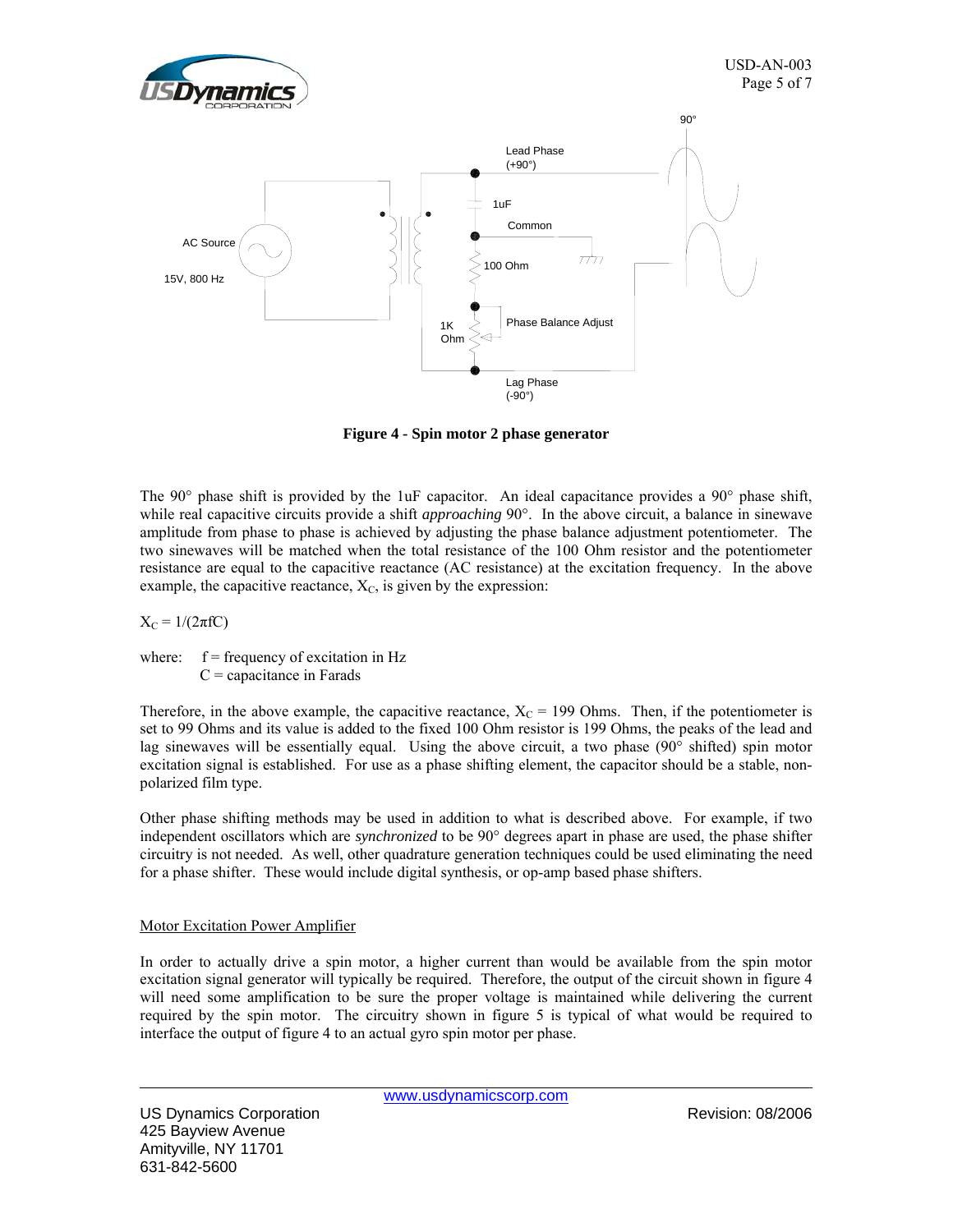



**Figure 4 - Spin motor 2 phase generator** 

The 90° phase shift is provided by the 1uF capacitor. An ideal capacitance provides a 90° phase shift, while real capacitive circuits provide a shift *approaching* 90°. In the above circuit, a balance in sinewave amplitude from phase to phase is achieved by adjusting the phase balance adjustment potentiometer. The two sinewaves will be matched when the total resistance of the 100 Ohm resistor and the potentiometer resistance are equal to the capacitive reactance (AC resistance) at the excitation frequency. In the above example, the capacitive reactance,  $X_c$ , is given by the expression:

 $X_C = 1/(2πfC)$ 

where:  $f = \text{frequency of excitation in Hz}$  $C =$  capacitance in Farads

Therefore, in the above example, the capacitive reactance,  $X_C = 199$  Ohms. Then, if the potentiometer is set to 99 Ohms and its value is added to the fixed 100 Ohm resistor is 199 Ohms, the peaks of the lead and lag sinewaves will be essentially equal. Using the above circuit, a two phase (90° shifted) spin motor excitation signal is established. For use as a phase shifting element, the capacitor should be a stable, nonpolarized film type.

Other phase shifting methods may be used in addition to what is described above. For example, if two independent oscillators which are *synchronized* to be 90° degrees apart in phase are used, the phase shifter circuitry is not needed. As well, other quadrature generation techniques could be used eliminating the need for a phase shifter. These would include digital synthesis, or op-amp based phase shifters.

#### Motor Excitation Power Amplifier

In order to actually drive a spin motor, a higher current than would be available from the spin motor excitation signal generator will typically be required. Therefore, the output of the circuit shown in figure 4 will need some amplification to be sure the proper voltage is maintained while delivering the current required by the spin motor. The circuitry shown in figure 5 is typical of what would be required to interface the output of figure 4 to an actual gyro spin motor per phase.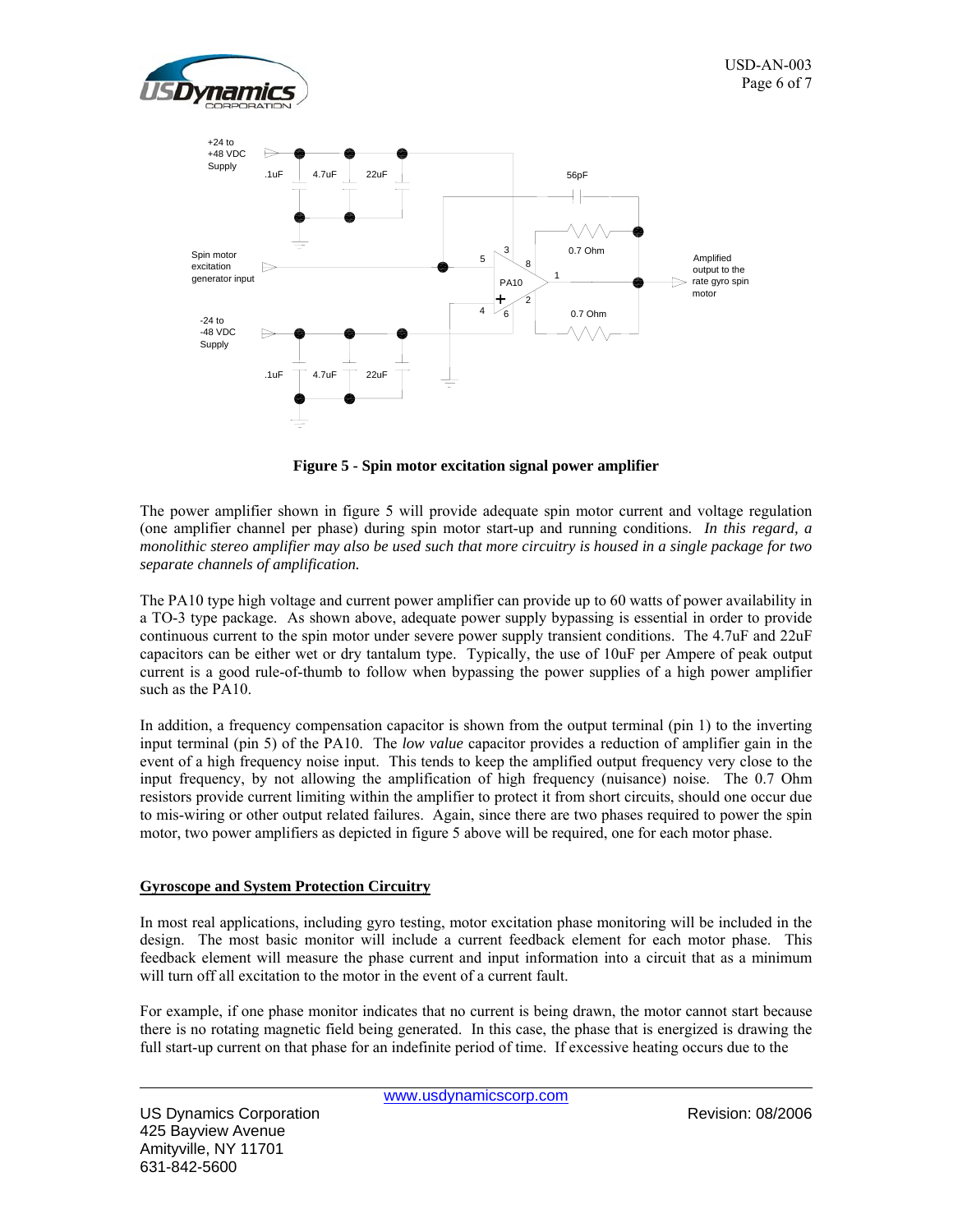



**Figure 5 - Spin motor excitation signal power amplifier** 

The power amplifier shown in figure 5 will provide adequate spin motor current and voltage regulation (one amplifier channel per phase) during spin motor start-up and running conditions. *In this regard, a monolithic stereo amplifier may also be used such that more circuitry is housed in a single package for two separate channels of amplification.* 

The PA10 type high voltage and current power amplifier can provide up to 60 watts of power availability in a TO-3 type package. As shown above, adequate power supply bypassing is essential in order to provide continuous current to the spin motor under severe power supply transient conditions. The 4.7uF and 22uF capacitors can be either wet or dry tantalum type. Typically, the use of 10uF per Ampere of peak output current is a good rule-of-thumb to follow when bypassing the power supplies of a high power amplifier such as the PA10.

In addition, a frequency compensation capacitor is shown from the output terminal (pin 1) to the inverting input terminal (pin 5) of the PA10. The *low value* capacitor provides a reduction of amplifier gain in the event of a high frequency noise input. This tends to keep the amplified output frequency very close to the input frequency, by not allowing the amplification of high frequency (nuisance) noise. The 0.7 Ohm resistors provide current limiting within the amplifier to protect it from short circuits, should one occur due to mis-wiring or other output related failures. Again, since there are two phases required to power the spin motor, two power amplifiers as depicted in figure 5 above will be required, one for each motor phase.

## **Gyroscope and System Protection Circuitry**

Amityville, NY 11701 631-842-5600

In most real applications, including gyro testing, motor excitation phase monitoring will be included in the design. The most basic monitor will include a current feedback element for each motor phase. This feedback element will measure the phase current and input information into a circuit that as a minimum will turn off all excitation to the motor in the event of a current fault.

For example, if one phase monitor indicates that no current is being drawn, the motor cannot start because there is no rotating magnetic field being generated. In this case, the phase that is energized is drawing the full start-up current on that phase for an indefinite period of time. If excessive heating occurs due to the